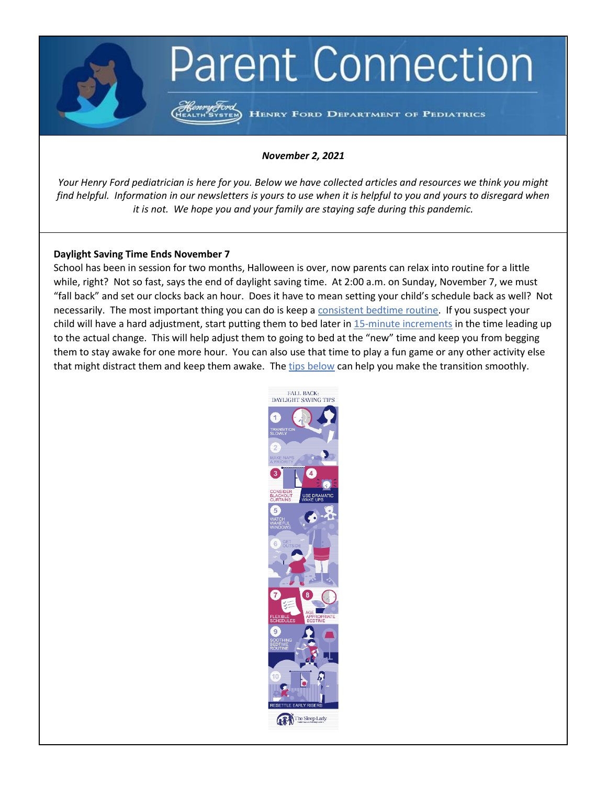# **Parent Connection**

HENRY FORD DEPARTMENT OF PEDIATRICS

# *November 2, 2021*

*Your Henry Ford pediatrician is here for you. Below we have collected articles and resources we think you might find helpful. Information in our newsletters is yours to use when it is helpful to you and yours to disregard when it is not. We hope you and your family are staying safe during this pandemic.*

# **Daylight Saving Time Ends November 7**

School has been in session for two months, Halloween is over, now parents can relax into routine for a little while, right? Not so fast, says the end of daylight saving time. At 2:00 a.m. on Sunday, November 7, we must "fall back" and set our clocks back an hour. Does it have to mean setting your child's schedule back as well? Not necessarily. The most important thing you can do is keep a [consistent bedtime routine.](https://www.chop.edu/news/health-tip/5-ways-help-kids-adjust-daylight-saving-time) If you suspect your child will have a hard adjustment, start putting them to bed later in [15-minute increments](https://www.drstevesilvestro.com/helping-your-child-adjust-to-daylight-saving-time) in the time leading up to the actual change. This will help adjust them to going to bed at the "new" time and keep you from begging them to stay awake for one more hour. You can also use that time to play a fun game or any other activity else that might distract them and keep them awake. Th[e tips below](http://sleeplady.com/baby-sleep/10-daylight-savings-tips/) can help you make the transition smoothly.

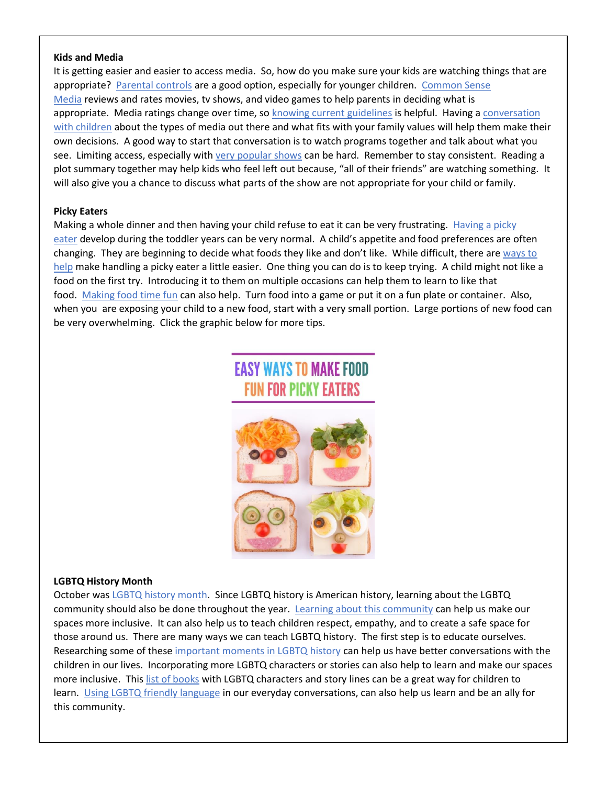#### **Kids and Media**

It is getting easier and easier to access media. So, how do you make sure your kids are watching things that are appropriate? [Parental controls](https://www.verywellfamily.com/parental-controls-2634209) are a good option, especially for younger children. [Common Sense](https://www.commonsensemedia.org/movie-reviews)  [Media](https://www.commonsensemedia.org/movie-reviews) reviews and rates movies, tv shows, and video games to help parents in deciding what is appropriate. Media ratings change over time, so [knowing current guidelines](https://www.healthychildren.org/English/family-life/Media/Pages/TV-Ratings-A-Guide-for-Parents.aspx) is helpful. Having a conversation [with children](https://thrivingparents.net/can-watch-teaching-child-appropriate-content-television/) about the types of media out there and what fits with your family values will help them make their own decisions. A good way to start that conversation is to watch programs together and talk about what you see. Limiting access, especially with [very popular shows](https://www.scarymommy.com/age-appropriate-squid-game/?utm_source=FB) can be hard. Remember to stay consistent. Reading a plot summary together may help kids who feel left out because, "all of their friends" are watching something. It will also give you a chance to discuss what parts of the show are not appropriate for your child or family.

#### **Picky Eaters**

Making a whole dinner and then having your child refuse to eat it can be very frustrating. Having a picky [eater](https://www.cdc.gov/nutrition/infantandtoddlernutrition/foods-and-drinks/picky-eaters.html) develop during the toddler years can be very normal. A child's appetite and food preferences are often changing. They are beginning to decide what foods they like and don't like. While difficult, there are [ways to](https://www.healthychildren.org/English/ages-stages/toddler/nutrition/Pages/Picky-Eaters.aspx)  [help](https://www.healthychildren.org/English/ages-stages/toddler/nutrition/Pages/Picky-Eaters.aspx) make handling a picky eater a little easier. One thing you can do is to keep trying. A child might not like a food on the first try. Introducing it to them on multiple occasions can help them to learn to like that food. [Making food time fun](https://supersimple.com/article/making-meal-time-fun-appealing/) can also help. Turn food into a game or put it on a fun plate or container. Also, when you are exposing your child to a new food, start with a very small portion. Large portions of new food can be very overwhelming. Click the graphic below for more tips.

# **EASY WAYS TO MAKE FOOD FUN FOR PICKY EATERS**



# **LGBTQ History Month**

October was [LGBTQ history month.](https://lgbthistorymonth.com/background) Since LGBTQ history is American history, learning about the LGBTQ community should also be done throughout the year. [Learning about this community](https://www.usatoday.com/story/news/education/2021/03/06/lgbtq-history-equality-education-act-teachers/6648601002/) can help us make our spaces more inclusive. It can also help us to teach children respect, empathy, and to create a safe space for those around us. There are many ways we can teach LGBTQ history. The first step is to educate ourselves. Researching some of these [important moments in LGBTQ history](https://www.teenvogue.com/story/lgbt-equality-key-moments-timeline) can help us have better conversations with the children in our lives. Incorporating more LGBTQ characters or stories can also help to learn and make our spaces more inclusive. This [list of books](https://welcomingschools.org/resources/childrens-books-lgbtq-inclusive) with LGBTQ characters and story lines can be a great way for children to learn. [Using LGBTQ friendly language](https://www.glaad.org/sites/default/files/allys-guide-to-terminology_1.pdf) in our everyday conversations, can also help us learn and be an ally for this community.